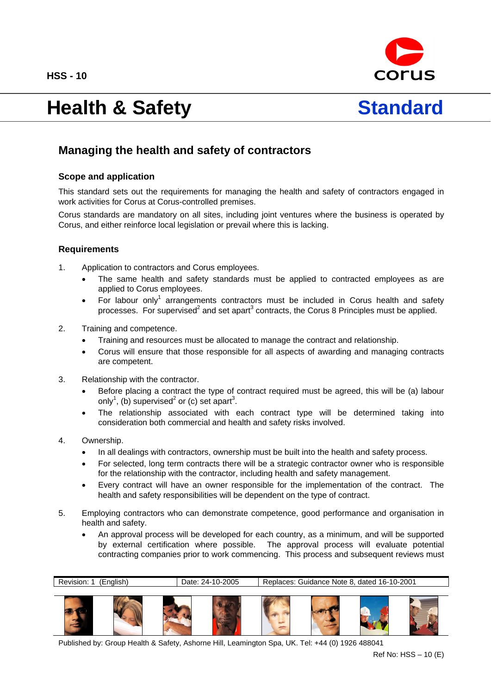**HSS - 10** 



# Health & Safety **Standard**



# **Managing the health and safety of contractors**

## **Scope and application**

This standard sets out the requirements for managing the health and safety of contractors engaged in work activities for Corus at Corus-controlled premises.

Corus standards are mandatory on all sites, including joint ventures where the business is operated by Corus, and either reinforce local legislation or prevail where this is lacking.

#### **Requirements**

- 1. Application to contractors and Corus employees.
	- The same health and safety standards must be applied to contracted employees as are applied to Corus employees.
	- For labour only<sup>1</sup> arrangements contractors must be included in Corus health and safety processes. For supervised<sup>2</sup> and set apart<sup>3</sup> contracts, the Corus 8 Principles must be applied.
- 2. Training and competence.
	- Training and resources must be allocated to manage the contract and relationship.
	- Corus will ensure that those responsible for all aspects of awarding and managing contracts are competent.
- 3. Relationship with the contractor.
	- Before placing a contract the type of contract required must be agreed, this will be (a) labour only<sup>1</sup>, (b) supervised<sup>2</sup> or (c) set apart<sup>3</sup>.
	- The relationship associated with each contract type will be determined taking into consideration both commercial and health and safety risks involved.
- 4. Ownership.
	- In all dealings with contractors, ownership must be built into the health and safety process.
	- For selected, long term contracts there will be a strategic contractor owner who is responsible for the relationship with the contractor, including health and safety management.
	- Every contract will have an owner responsible for the implementation of the contract. The health and safety responsibilities will be dependent on the type of contract.
- 5. Employing contractors who can demonstrate competence, good performance and organisation in health and safety.
	- An approval process will be developed for each country, as a minimum, and will be supported by external certification where possible. The approval process will evaluate potential contracting companies prior to work commencing. This process and subsequent reviews must

Revision: 1 (English) Date: 24-10-2005 Replaces: Guidance Note 8, dated 16-10-2001



Published by: Group Health & Safety, Ashorne Hill, Leamington Spa, UK. Tel: +44 (0) 1926 488041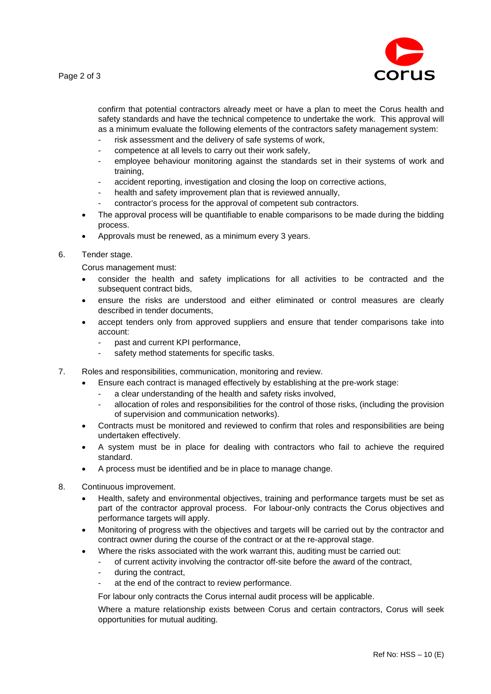

confirm that potential contractors already meet or have a plan to meet the Corus health and safety standards and have the technical competence to undertake the work. This approval will as a minimum evaluate the following elements of the contractors safety management system:

- risk assessment and the delivery of safe systems of work,
- competence at all levels to carry out their work safely,
- employee behaviour monitoring against the standards set in their systems of work and training,
- accident reporting, investigation and closing the loop on corrective actions,
- health and safety improvement plan that is reviewed annually,
- contractor's process for the approval of competent sub contractors.
- The approval process will be quantifiable to enable comparisons to be made during the bidding process.
- Approvals must be renewed, as a minimum every 3 years.

#### 6. Tender stage.

Corus management must:

- consider the health and safety implications for all activities to be contracted and the subsequent contract bids.
- ensure the risks are understood and either eliminated or control measures are clearly described in tender documents,
- accept tenders only from approved suppliers and ensure that tender comparisons take into account:
	- past and current KPI performance,
	- safety method statements for specific tasks.
- 7. Roles and responsibilities, communication, monitoring and review.
	- Ensure each contract is managed effectively by establishing at the pre-work stage:
		- a clear understanding of the health and safety risks involved,
		- allocation of roles and responsibilities for the control of those risks, (including the provision of supervision and communication networks).
	- Contracts must be monitored and reviewed to confirm that roles and responsibilities are being undertaken effectively.
	- A system must be in place for dealing with contractors who fail to achieve the required standard.
	- A process must be identified and be in place to manage change.
- 8. Continuous improvement.
	- Health, safety and environmental objectives, training and performance targets must be set as part of the contractor approval process. For labour-only contracts the Corus objectives and performance targets will apply.
	- Monitoring of progress with the objectives and targets will be carried out by the contractor and contract owner during the course of the contract or at the re-approval stage.
	- Where the risks associated with the work warrant this, auditing must be carried out:
		- of current activity involving the contractor off-site before the award of the contract,
		- during the contract,
		- at the end of the contract to review performance.

For labour only contracts the Corus internal audit process will be applicable.

Where a mature relationship exists between Corus and certain contractors, Corus will seek opportunities for mutual auditing.